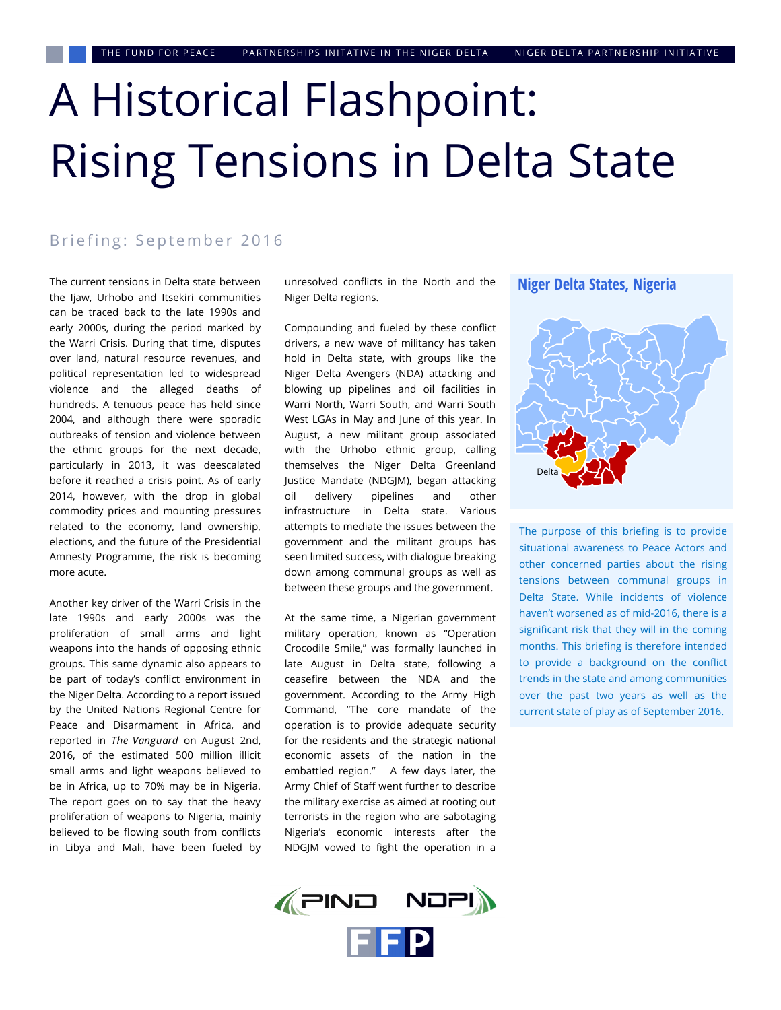# A Historical Flashpoint: Rising Tensions in Delta State

#### Briefing: September 2016

The current tensions in Delta state between the Ijaw, Urhobo and Itsekiri communities can be traced back to the late 1990s and early 2000s, during the period marked by the Warri Crisis. During that time, disputes over land, natural resource revenues, and political representation led to widespread violence and the alleged deaths of hundreds. A tenuous peace has held since 2004, and although there were sporadic outbreaks of tension and violence between the ethnic groups for the next decade, particularly in 2013, it was deescalated before it reached a crisis point. As of early 2014, however, with the drop in global commodity prices and mounting pressures related to the economy, land ownership, elections, and the future of the Presidential Amnesty Programme, the risk is becoming more acute.

Another key driver of the Warri Crisis in the late 1990s and early 2000s was the proliferation of small arms and light weapons into the hands of opposing ethnic groups. This same dynamic also appears to be part of today's conflict environment in the Niger Delta. According to a report issued by the United Nations Regional Centre for Peace and Disarmament in Africa, and reported in *The Vanguard* on August 2nd, 2016, of the estimated 500 million illicit small arms and light weapons believed to be in Africa, up to 70% may be in Nigeria. The report goes on to say that the heavy proliferation of weapons to Nigeria, mainly believed to be flowing south from conflicts in Libya and Mali, have been fueled by unresolved conflicts in the North and the Niger Delta regions.

Compounding and fueled by these conflict drivers, a new wave of militancy has taken hold in Delta state, with groups like the Niger Delta Avengers (NDA) attacking and blowing up pipelines and oil facilities in Warri North, Warri South, and Warri South West LGAs in May and June of this year. In August, a new militant group associated with the Urhobo ethnic group, calling themselves the Niger Delta Greenland Justice Mandate (NDGJM), began attacking oil delivery pipelines and other infrastructure in Delta state. Various attempts to mediate the issues between the government and the militant groups has seen limited success, with dialogue breaking down among communal groups as well as between these groups and the government.

At the same time, a Nigerian government military operation, known as "Operation Crocodile Smile," was formally launched in late August in Delta state, following a ceasefire between the NDA and the government. According to the Army High Command, "The core mandate of the operation is to provide adequate security for the residents and the strategic national economic assets of the nation in the embattled region." A few days later, the Army Chief of Staff went further to describe the military exercise as aimed at rooting out terrorists in the region who are sabotaging Nigeria's economic interests after the NDGJM vowed to fight the operation in a





The purpose of this briefing is to provide situational awareness to Peace Actors and other concerned parties about the rising tensions between communal groups in Delta State. While incidents of violence haven't worsened as of mid-2016, there is a significant risk that they will in the coming months. This briefing is therefore intended to provide a background on the conflict trends in the state and among communities over the past two years as well as the current state of play as of September 2016.

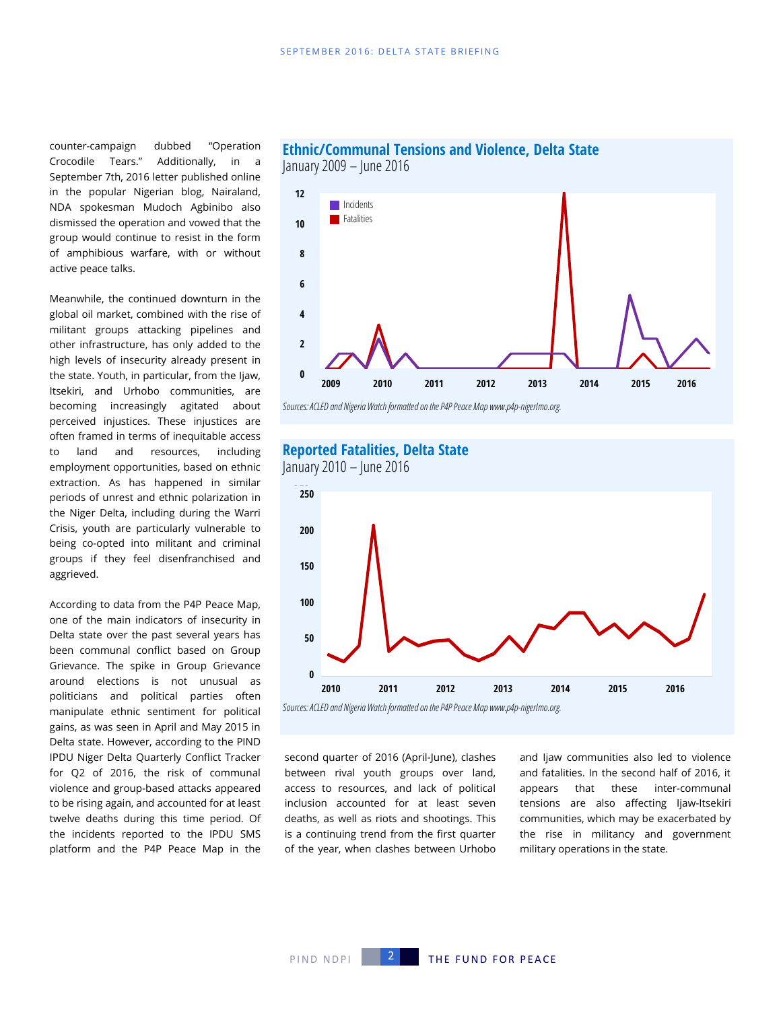counter-campaign dubbed "Operation Crocodile Tears." Additionally, in a September 7th, 2016 letter published online in the popular Nigerian blog, Nairaland, NDA spokesman Mudoch Agbinibo also dismissed the operation and vowed that the group would continue to resist in the form of amphibious warfare, with or without active peace talks.

Meanwhile, the continued downturn in the global oil market, combined with the rise of militant groups attacking pipelines and other infrastructure, has only added to the high levels of insecurity already present in the state. Youth, in particular, from the Ijaw, Itsekiri, and Urhobo communities, are becoming increasingly agitated about perceived injustices. These injustices are often framed in terms of inequitable access to land and resources, including employment opportunities, based on ethnic extraction. As has happened in similar periods of unrest and ethnic polarization in the Niger Delta, including during the Warri Crisis, youth are particularly vulnerable to being co-opted into militant and criminal groups if they feel disenfranchised and aggrieved.

According to data from the P4P Peace Map, one of the main indicators of insecurity in Delta state over the past several years has been communal conflict based on Group Grievance. The spike in Group Grievance around elections is not unusual as politicians and political parties often manipulate ethnic sentiment for political gains, as was seen in April and May 2015 in Delta state. However, according to the PIND IPDU Niger Delta Quarterly Conflict Tracker for Q2 of 2016, the risk of communal violence and group-based attacks appeared to be rising again, and accounted for at least twelve deaths during this time period. Of the incidents reported to the IPDU SMS platform and the P4P Peace Map in the



**Ethnic/Communal Tensions and Violence, Delta State**

*Sources: ACLED and Nigeria Watch formatted on the P4P Peace Map www.p4p-nigerImo.org.* 

#### **Reported Fatalities, Delta State**



second quarter of 2016 (April-June), clashes between rival youth groups over land, access to resources, and lack of political inclusion accounted for at least seven deaths, as well as riots and shootings. This is a continuing trend from the first quarter of the year, when clashes between Urhobo and Ijaw communities also led to violence and fatalities. In the second half of 2016, it appears that these inter-communal tensions are also affecting Ijaw-Itsekiri communities, which may be exacerbated by the rise in militancy and government military operations in the state.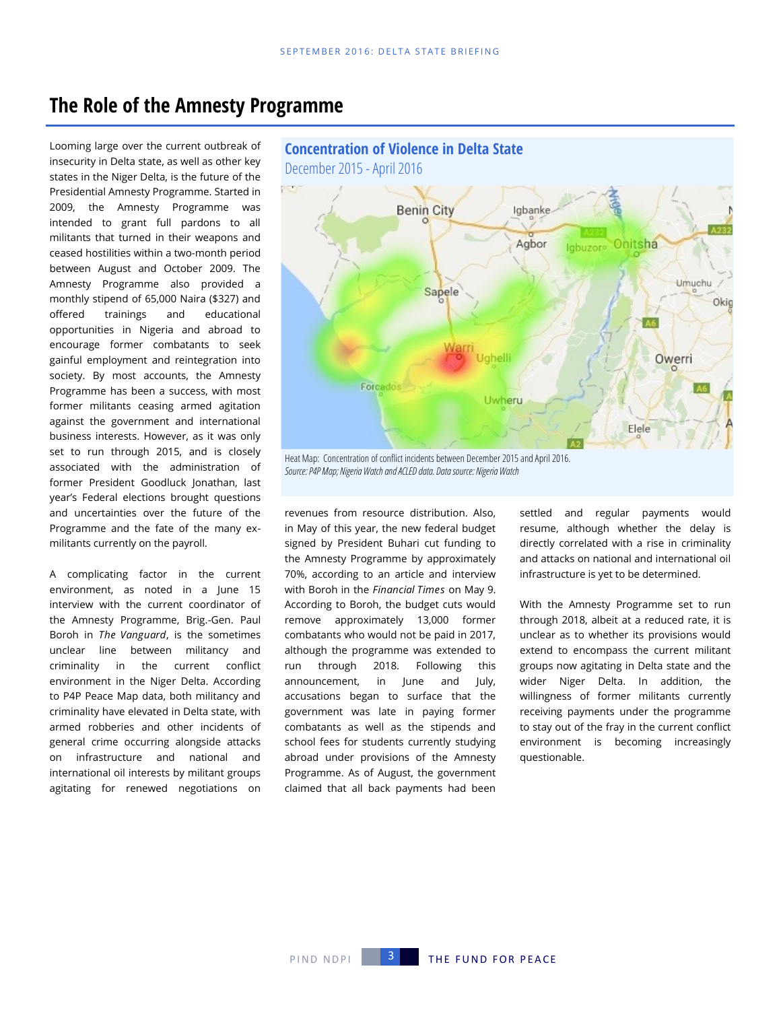### **The Role of the Amnesty Programme**

Looming large over the current outbreak of insecurity in Delta state, as well as other key states in the Niger Delta, is the future of the Presidential Amnesty Programme. Started in 2009, the Amnesty Programme was intended to grant full pardons to all militants that turned in their weapons and ceased hostilities within a two-month period between August and October 2009. The Amnesty Programme also provided a monthly stipend of 65,000 Naira (\$327) and offered trainings and educational opportunities in Nigeria and abroad to encourage former combatants to seek gainful employment and reintegration into society. By most accounts, the Amnesty Programme has been a success, with most former militants ceasing armed agitation against the government and international business interests. However, as it was only set to run through 2015, and is closely associated with the administration of former President Goodluck Jonathan, last year's Federal elections brought questions and uncertainties over the future of the Programme and the fate of the many exmilitants currently on the payroll.

A complicating factor in the current environment, as noted in a June 15 interview with the current coordinator of the Amnesty Programme, Brig.-Gen. Paul Boroh in *The Vanguard*, is the sometimes unclear line between militancy and criminality in the current conflict environment in the Niger Delta. According to P4P Peace Map data, both militancy and criminality have elevated in Delta state, with armed robberies and other incidents of general crime occurring alongside attacks on infrastructure and national and international oil interests by militant groups agitating for renewed negotiations on



*Source: P4P Map; Nigeria Watch and ACLED data. Data source: Nigeria Watch* 

revenues from resource distribution. Also, in May of this year, the new federal budget signed by President Buhari cut funding to the Amnesty Programme by approximately 70%, according to an article and interview with Boroh in the *Financial Times* on May 9. According to Boroh, the budget cuts would remove approximately 13,000 former combatants who would not be paid in 2017, although the programme was extended to run through 2018. Following this announcement, in June and July, accusations began to surface that the government was late in paying former combatants as well as the stipends and school fees for students currently studying abroad under provisions of the Amnesty Programme. As of August, the government claimed that all back payments had been settled and regular payments would resume, although whether the delay is directly correlated with a rise in criminality and attacks on national and international oil infrastructure is yet to be determined.

With the Amnesty Programme set to run through 2018, albeit at a reduced rate, it is unclear as to whether its provisions would extend to encompass the current militant groups now agitating in Delta state and the wider Niger Delta. In addition, the willingness of former militants currently receiving payments under the programme to stay out of the fray in the current conflict environment is becoming increasingly questionable.